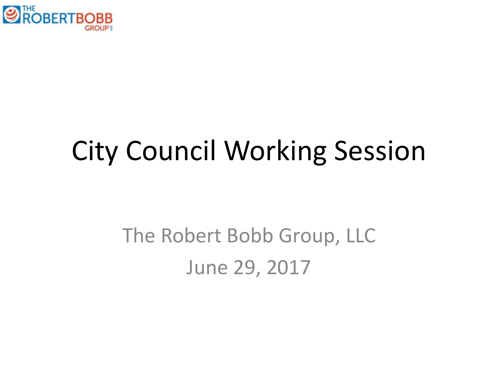

# City Council Working Session

# The Robert Bobb Group, LLC June 29, 2017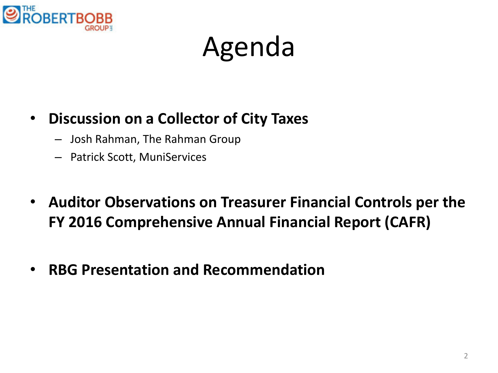

# Agenda

### • **Discussion on a Collector of City Taxes**

- Josh Rahman, The Rahman Group
- Patrick Scott, MuniServices
- **Auditor Observations on Treasurer Financial Controls per the FY 2016 Comprehensive Annual Financial Report (CAFR)**
- **RBG Presentation and Recommendation**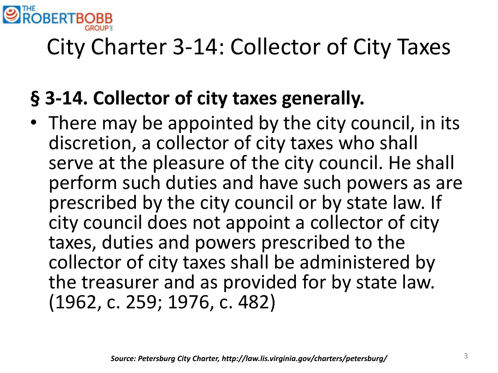

# City Charter 3-14: Collector of City Taxes

### **§ 3-14. Collector of city taxes generally.**

• There may be appointed by the city council, in its discretion, a collector of city taxes who shall serve at the pleasure of the city council. He shall perform such duties and have such powers as are prescribed by the city council or by state law. If city council does not appoint a collector of city taxes, duties and powers prescribed to the collector of city taxes shall be administered by the treasurer and as provided for by state law. (1962, c. 259; 1976, c. 482)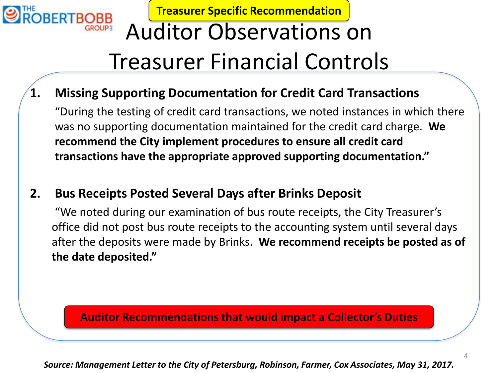

**Treasurer Specific Recommendation**

# Auditor Observations on Treasurer Financial Controls

### **1. Missing Supporting Documentation for Credit Card Transactions**

"During the testing of credit card transactions, we noted instances in which there was no supporting documentation maintained for the credit card charge. **We recommend the City implement procedures to ensure all credit card transactions have the appropriate approved supporting documentation."**

### **2. Bus Receipts Posted Several Days after Brinks Deposit**

"We noted during our examination of bus route receipts, the City Treasurer's office did not post bus route receipts to the accounting system until several days after the deposits were made by Brinks. **We recommend receipts be posted as of the date deposited."**

#### **Auditor Recommendations that would impact a Collector's Duties**

*Source: Management Letter to the City of Petersburg, Robinson, Farmer, Cox Associates, May 31, 2017.*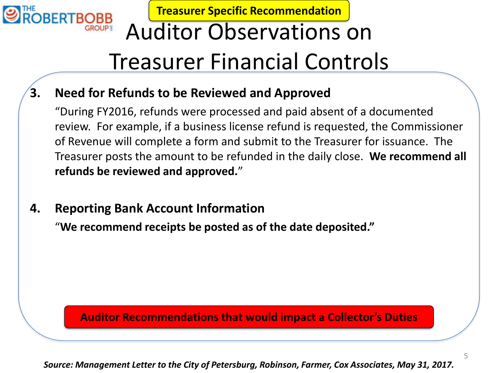

**Treasurer Specific Recommendation**

# Auditor Observations on Treasurer Financial Controls

### **3. Need for Refunds to be Reviewed and Approved**

"During FY2016, refunds were processed and paid absent of a documented review. For example, if a business license refund is requested, the Commissioner of Revenue will complete a form and submit to the Treasurer for issuance. The Treasurer posts the amount to be refunded in the daily close. **We recommend all refunds be reviewed and approved.**"

### **4. Reporting Bank Account Information**

"**We recommend receipts be posted as of the date deposited."**

#### **Auditor Recommendations that would impact a Collector's Duties**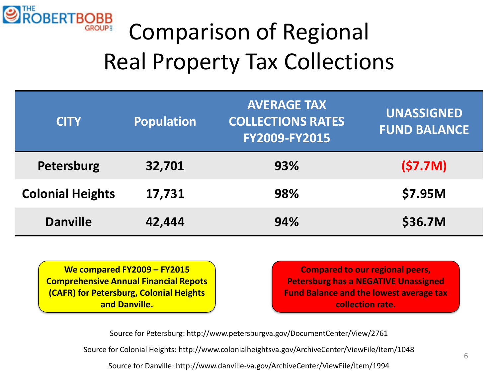

# Comparison of Regional Real Property Tax Collections

| <b>Population</b><br><b>CITY</b> |        | <b>AVERAGE TAX</b><br><b>COLLECTIONS RATES</b><br>FY2009-FY2015 | <b>UNASSIGNED</b><br><b>FUND BALANCE</b> |
|----------------------------------|--------|-----------------------------------------------------------------|------------------------------------------|
| Petersburg                       | 32,701 | 93%                                                             | (57.7M)                                  |
| <b>Colonial Heights</b>          | 17,731 | 98%                                                             | \$7.95M                                  |
| <b>Danville</b>                  | 42,444 | 94%                                                             | \$36.7M                                  |

**We compared FY2009 – FY2015 Comprehensive Annual Financial Repots (CAFR) for Petersburg, Colonial Heights and Danville.**

**Compared to our regional peers, Petersburg has a NEGATIVE Unassigned Fund Balance and the lowest average tax collection rate.**

Source for Petersburg: http://www.petersburgva.gov/DocumentCenter/View/2761

Source for Colonial Heights: http://www.colonialheightsva.gov/ArchiveCenter/ViewFile/Item/1048

Source for Danville: http://www.danville-va.gov/ArchiveCenter/ViewFile/Item/1994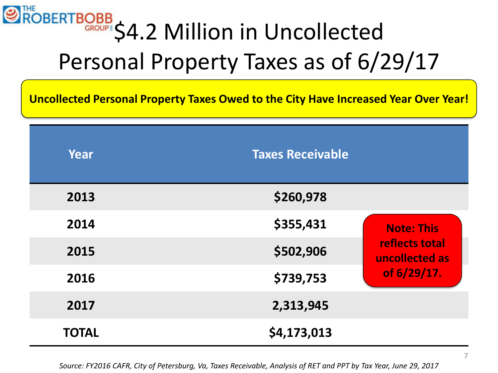# ROBERTBOBB 54.2 Million in Uncollected Personal Property Taxes as of 6/29/17

**Uncollected Personal Property Taxes Owed to the City Have Increased Year Over Year!**

| Year         | <b>Taxes Receivable</b> |                                  |
|--------------|-------------------------|----------------------------------|
| 2013         | \$260,978               |                                  |
| 2014         | \$355,431               | <b>Note: This</b>                |
| 2015         | \$502,906               | reflects total<br>uncollected as |
| 2016         | \$739,753               | of 6/29/17.                      |
| 2017         | 2,313,945               |                                  |
| <b>TOTAL</b> | \$4,173,013             |                                  |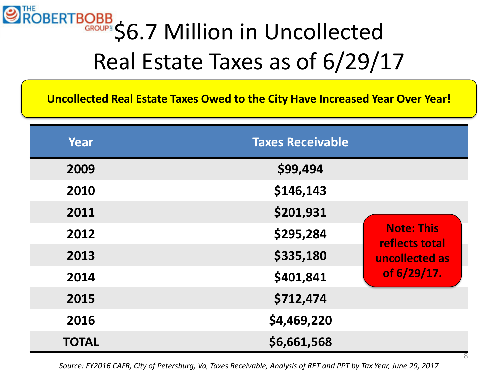# ROBERTBOBB S6.7 Million in Uncollected Real Estate Taxes as of 6/29/17

**Uncollected Real Estate Taxes Owed to the City Have Increased Year Over Year!**

| Year         | <b>Taxes Receivable</b> |                                     |
|--------------|-------------------------|-------------------------------------|
| 2009         | \$99,494                |                                     |
| 2010         | \$146,143               |                                     |
| 2011         | \$201,931               |                                     |
| 2012         | \$295,284               | <b>Note: This</b><br>reflects total |
| 2013         | \$335,180               | uncollected as                      |
| 2014         | \$401,841               | of 6/29/17.                         |
| 2015         | \$712,474               |                                     |
| 2016         | \$4,469,220             |                                     |
| <b>TOTAL</b> | \$6,661,568             |                                     |

*Source: FY2016 CAFR, City of Petersburg, Va, Taxes Receivable, Analysis of RET and PPT by Tax Year, June 29, 2017*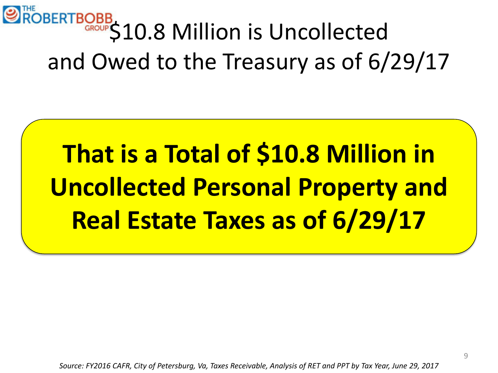

# **That is a Total of \$10.8 Million in Uncollected Personal Property and Real Estate Taxes as of 6/29/17**

*Source: FY2016 CAFR, City of Petersburg, Va, Taxes Receivable, Analysis of RET and PPT by Tax Year, June 29, 2017*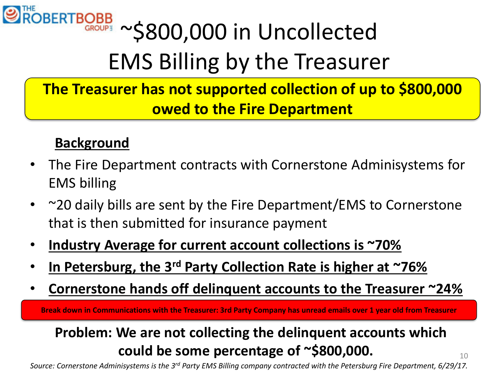

# ROBERTBOBB ~ \$800,000 in Uncollected EMS Billing by the Treasurer

**The Treasurer has not supported collection of up to \$800,000 owed to the Fire Department**

### **Background**

- The Fire Department contracts with Cornerstone Adminisystems for EMS billing
- ~20 daily bills are sent by the Fire Department/EMS to Cornerstone that is then submitted for insurance payment
- **Industry Average for current account collections is ~70%**
- **In Petersburg, the 3rd Party Collection Rate is higher at ~76%**
- **Cornerstone hands off delinquent accounts to the Treasurer ~24%**

**Break down in Communications with the Treasurer: 3rd Party Company has unread emails over 1 year old from Treasurer**

### **Problem: We are not collecting the delinquent accounts which could be some percentage of ~\$800,000.** 10

*Source: Cornerstone Adminisystems is the 3rd Party EMS Billing company contracted with the Petersburg Fire Department, 6/29/17.*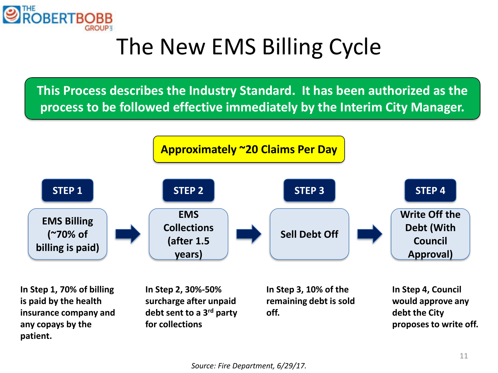

# The New EMS Billing Cycle

**This Process describes the Industry Standard. It has been authorized as the process to be followed effective immediately by the Interim City Manager.**



**is paid by the health insurance company and any copays by the patient.**

**surcharge after unpaid debt sent to a 3rd party for collections**

**remaining debt is sold off.**

**would approve any debt the City proposes to write off.**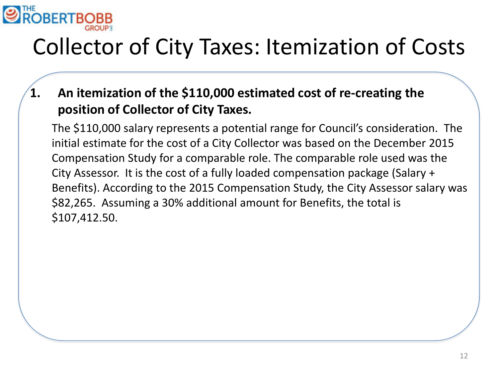

# Collector of City Taxes: Itemization of Costs

**1. An itemization of the \$110,000 estimated cost of re-creating the position of Collector of City Taxes.**

The \$110,000 salary represents a potential range for Council's consideration. The initial estimate for the cost of a City Collector was based on the December 2015 Compensation Study for a comparable role. The comparable role used was the City Assessor. It is the cost of a fully loaded compensation package (Salary + Benefits). According to the 2015 Compensation Study, the City Assessor salary was \$82,265. Assuming a 30% additional amount for Benefits, the total is \$107,412.50.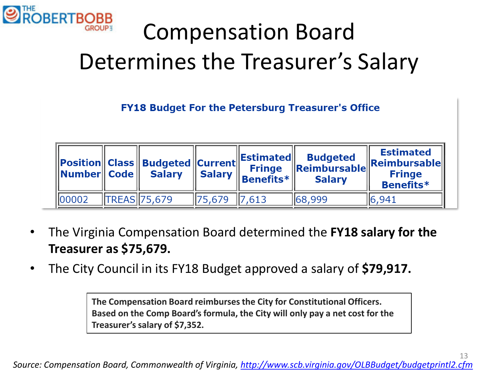

# Compensation Board Determines the Treasurer's Salary

**FY18 Budget For the Petersburg Treasurer's Office** 

| $\ $ Number $\ $ Code $\ $ | Position   Class    Budgeted    Current  '<br>Salary    Salary |                      | $\ $ Estimated $\ $<br><b>Fringe</b><br>$\ $ Benefits $\ast$ $\ $ | <b>Budgeted</b><br><b>Salary</b> | <b>Estimated</b><br>Reimbursable Reimbursable<br><b>Fringe</b><br><b>Benefits*</b> |
|----------------------------|----------------------------------------------------------------|----------------------|-------------------------------------------------------------------|----------------------------------|------------------------------------------------------------------------------------|
| 100002                     | <b>TREAS</b> 75,679                                            | $\  75,679 \  7,613$ |                                                                   | 68, 999                          | 16,941                                                                             |

- The Virginia Compensation Board determined the **FY18 salary for the Treasurer as \$75,679.**
- The City Council in its FY18 Budget approved a salary of **\$79,917.**

**The Compensation Board reimburses the City for Constitutional Officers. Based on the Comp Board's formula, the City will only pay a net cost for the Treasurer's salary of \$7,352.**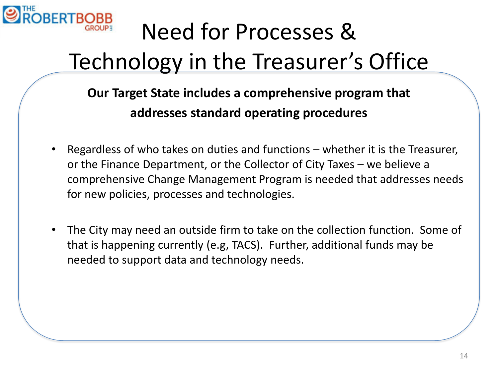

# Need for Processes & Technology in the Treasurer's Office

**Our Target State includes a comprehensive program that addresses standard operating procedures**

- Regardless of who takes on duties and functions whether it is the Treasurer, or the Finance Department, or the Collector of City Taxes – we believe a comprehensive Change Management Program is needed that addresses needs for new policies, processes and technologies.
- The City may need an outside firm to take on the collection function. Some of that is happening currently (e.g, TACS). Further, additional funds may be needed to support data and technology needs.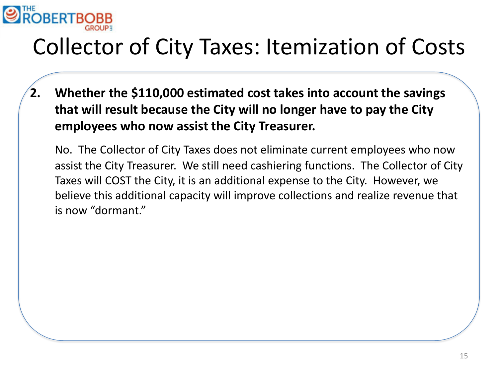

# Collector of City Taxes: Itemization of Costs

**2. Whether the \$110,000 estimated cost takes into account the savings that will result because the City will no longer have to pay the City employees who now assist the City Treasurer.**

No. The Collector of City Taxes does not eliminate current employees who now assist the City Treasurer. We still need cashiering functions. The Collector of City Taxes will COST the City, it is an additional expense to the City. However, we believe this additional capacity will improve collections and realize revenue that is now "dormant."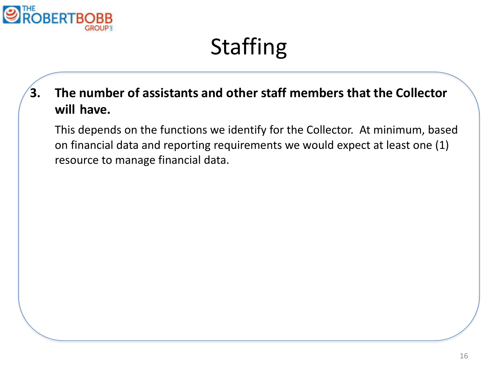

# Staffing

**3. The number of assistants and other staff members that the Collector will have.**

This depends on the functions we identify for the Collector. At minimum, based on financial data and reporting requirements we would expect at least one (1) resource to manage financial data.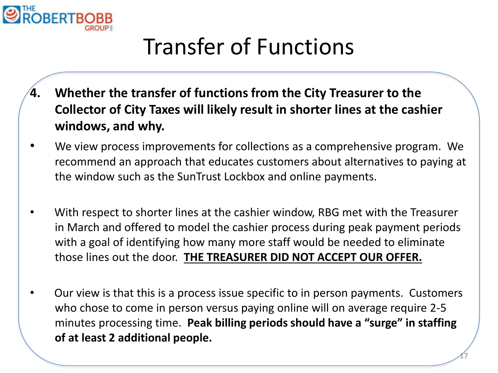

# Transfer of Functions

- **4. Whether the transfer of functions from the City Treasurer to the Collector of City Taxes will likely result in shorter lines at the cashier windows, and why.**
- We view process improvements for collections as a comprehensive program. We recommend an approach that educates customers about alternatives to paying at the window such as the SunTrust Lockbox and online payments.
- With respect to shorter lines at the cashier window, RBG met with the Treasurer in March and offered to model the cashier process during peak payment periods with a goal of identifying how many more staff would be needed to eliminate those lines out the door. **THE TREASURER DID NOT ACCEPT OUR OFFER.**
- Our view is that this is a process issue specific to in person payments. Customers who chose to come in person versus paying online will on average require 2-5 minutes processing time. **Peak billing periods should have a "surge" in staffing of at least 2 additional people.**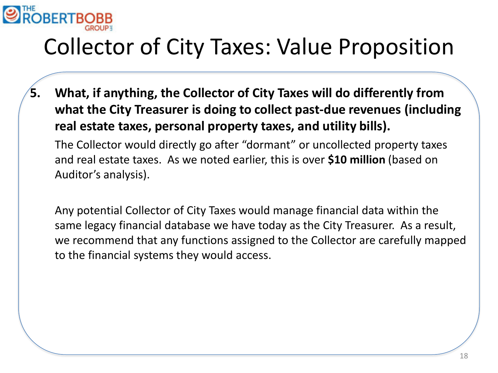

## Collector of City Taxes: Value Proposition

**5. What, if anything, the Collector of City Taxes will do differently from what the City Treasurer is doing to collect past-due revenues (including real estate taxes, personal property taxes, and utility bills).**

The Collector would directly go after "dormant" or uncollected property taxes and real estate taxes. As we noted earlier, this is over **\$10 million** (based on Auditor's analysis).

Any potential Collector of City Taxes would manage financial data within the same legacy financial database we have today as the City Treasurer. As a result, we recommend that any functions assigned to the Collector are carefully mapped to the financial systems they would access.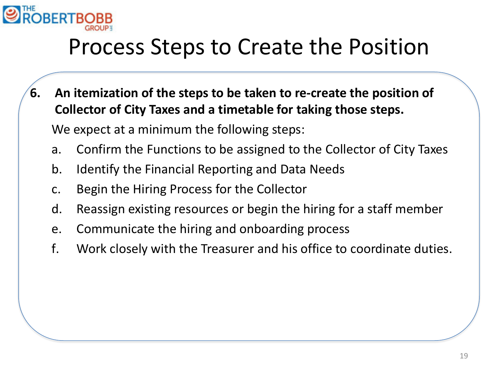

### Process Steps to Create the Position

- **6. An itemization of the steps to be taken to re-create the position of Collector of City Taxes and a timetable for taking those steps.** We expect at a minimum the following steps:
	- a. Confirm the Functions to be assigned to the Collector of City Taxes
	- b. Identify the Financial Reporting and Data Needs
	- c. Begin the Hiring Process for the Collector
	- d. Reassign existing resources or begin the hiring for a staff member
	- e. Communicate the hiring and onboarding process
	- f. Work closely with the Treasurer and his office to coordinate duties.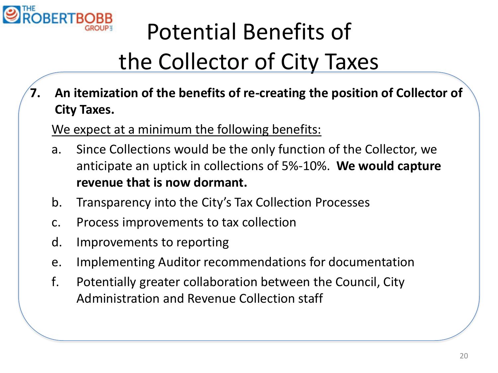

# Potential Benefits of the Collector of City Taxes

**7. An itemization of the benefits of re-creating the position of Collector of City Taxes.**

We expect at a minimum the following benefits:

- a. Since Collections would be the only function of the Collector, we anticipate an uptick in collections of 5%-10%. **We would capture revenue that is now dormant.**
- b. Transparency into the City's Tax Collection Processes
- c. Process improvements to tax collection
- d. Improvements to reporting
- e. Implementing Auditor recommendations for documentation
- f. Potentially greater collaboration between the Council, City Administration and Revenue Collection staff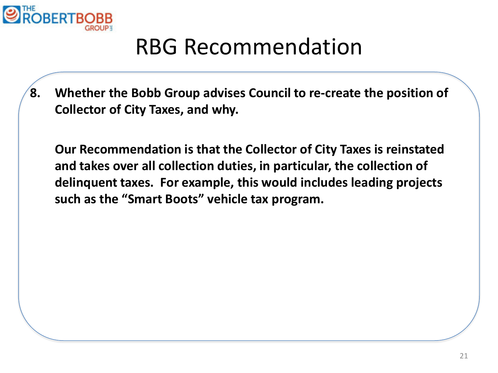

### RBG Recommendation

**8. Whether the Bobb Group advises Council to re-create the position of Collector of City Taxes, and why.**

**Our Recommendation is that the Collector of City Taxes is reinstated and takes over all collection duties, in particular, the collection of delinquent taxes. For example, this would includes leading projects such as the "Smart Boots" vehicle tax program.**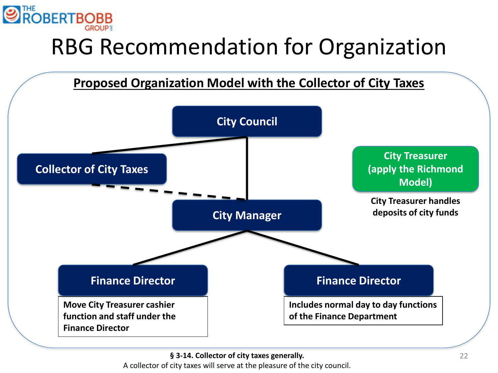

# RBG Recommendation for Organization



**§ 3-14. Collector of city taxes generally.**

A collector of city taxes will serve at the pleasure of the city council.